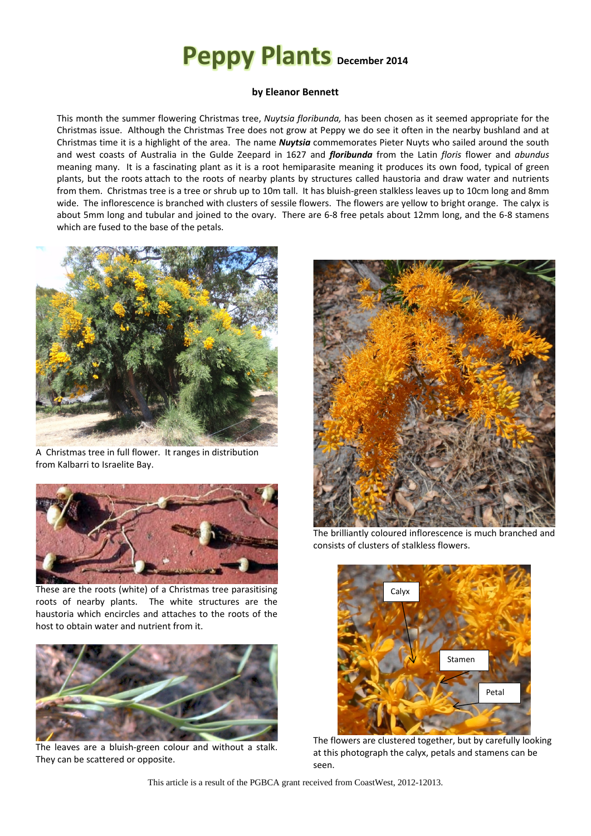## **Peppy Plants December <sup>2014</sup>**

## **by Eleanor Bennett**

This month the summer flowering Christmas tree, *Nuytsia floribunda,* has been chosen as it seemed appropriate for the Christmas issue. Although the Christmas Tree does not grow at Peppy we do see it often in the nearby bushland and at Christmas time it is a highlight of the area. The name *Nuytsia* commemorates Pieter Nuyts who sailed around the south and west coasts of Australia in the Gulde Zeepard in 1627 and *floribunda* from the Latin *floris* flower and *abundus* meaning many. It is a fascinating plant as it is a root hemiparasite meaning it produces its own food, typical of green plants, but the roots attach to the roots of nearby plants by structures called haustoria and draw water and nutrients from them. Christmas tree is a tree or shrub up to 10m tall. It has bluish-green stalkless leaves up to 10cm long and 8mm wide. The inflorescence is branched with clusters of sessile flowers. The flowers are yellow to bright orange. The calyx is about 5mm long and tubular and joined to the ovary. There are 6-8 free petals about 12mm long, and the 6-8 stamens which are fused to the base of the petals.



A Christmas tree in full flower. It ranges in distribution from Kalbarri to Israelite Bay.



These are the roots (white) of a Christmas tree parasitising roots of nearby plants. The white structures are the haustoria which encircles and attaches to the roots of the host to obtain water and nutrient from it.



The leaves are a bluish-green colour and without a stalk. They can be scattered or opposite.



The brilliantly coloured inflorescence is much branched and consists of clusters of stalkless flowers.



The flowers are clustered together, but by carefully looking at this photograph the calyx, petals and stamens can be seen.

This article is a result of the PGBCA grant received from CoastWest, 2012-12013.